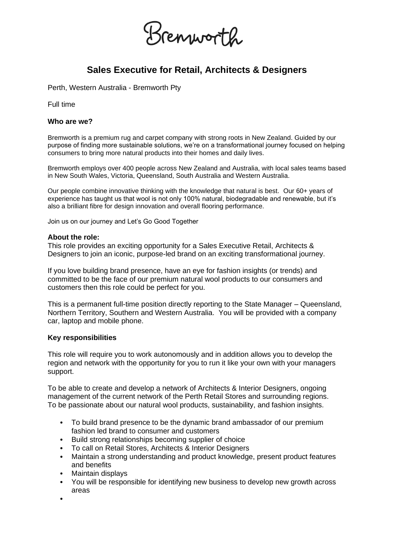

# **Sales Executive for Retail, Architects & Designers**

Perth, Western Australia - Bremworth Pty

Full time

#### **Who are we?**

Bremworth is a premium rug and carpet company with strong roots in New Zealand. Guided by our purpose of finding more sustainable solutions, we're on a transformational journey focused on helping consumers to bring more natural products into their homes and daily lives.

Bremworth employs over 400 people across New Zealand and Australia, with local sales teams based in New South Wales, Victoria, Queensland, South Australia and Western Australia.

Our people combine innovative thinking with the knowledge that natural is best. Our 60+ years of experience has taught us that wool is not only 100% natural, biodegradable and renewable, but it's also a brilliant fibre for design innovation and overall flooring performance.

Join us on our journey and Let's Go Good Together

#### **About the role:**

This role provides an exciting opportunity for a Sales Executive Retail, Architects & Designers to join an iconic, purpose-led brand on an exciting transformational journey.

If you love building brand presence, have an eye for fashion insights (or trends) and committed to be the face of our premium natural wool products to our consumers and customers then this role could be perfect for you.

This is a permanent full-time position directly reporting to the State Manager – Queensland, Northern Territory, Southern and Western Australia. You will be provided with a company car, laptop and mobile phone.

## **Key responsibilities**

This role will require you to work autonomously and in addition allows you to develop the region and network with the opportunity for you to run it like your own with your managers support.

To be able to create and develop a network of Architects & Interior Designers, ongoing management of the current network of the Perth Retail Stores and surrounding regions. To be passionate about our natural wool products, sustainability, and fashion insights.

- To build brand presence to be the dynamic brand ambassador of our premium fashion led brand to consumer and customers
- Build strong relationships becoming supplier of choice
- To call on Retail Stores, Architects & Interior Designers
- Maintain a strong understanding and product knowledge, present product features and benefits
- Maintain displays
- You will be responsible for identifying new business to develop new growth across areas
- •